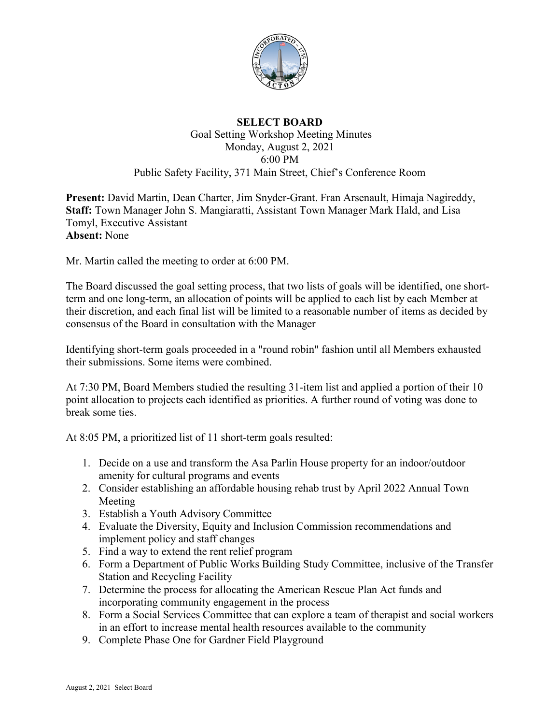

## **SELECT BOARD** Goal Setting Workshop Meeting Minutes Monday, August 2, 2021 6:00 PM Public Safety Facility, 371 Main Street, Chief's Conference Room

**Present:** David Martin, Dean Charter, Jim Snyder-Grant. Fran Arsenault, Himaja Nagireddy, **Staff:** Town Manager John S. Mangiaratti, Assistant Town Manager Mark Hald, and Lisa Tomyl, Executive Assistant **Absent:** None

Mr. Martin called the meeting to order at 6:00 PM.

The Board discussed the goal setting process, that two lists of goals will be identified, one shortterm and one long-term, an allocation of points will be applied to each list by each Member at their discretion, and each final list will be limited to a reasonable number of items as decided by consensus of the Board in consultation with the Manager

Identifying short-term goals proceeded in a "round robin" fashion until all Members exhausted their submissions. Some items were combined.

At 7:30 PM, Board Members studied the resulting 31-item list and applied a portion of their 10 point allocation to projects each identified as priorities. A further round of voting was done to break some ties.

At 8:05 PM, a prioritized list of 11 short-term goals resulted:

- 1. Decide on a use and transform the Asa Parlin House property for an indoor/outdoor amenity for cultural programs and events
- 2. Consider establishing an affordable housing rehab trust by April 2022 Annual Town Meeting
- 3. Establish a Youth Advisory Committee
- 4. Evaluate the Diversity, Equity and Inclusion Commission recommendations and implement policy and staff changes
- 5. Find a way to extend the rent relief program
- 6. Form a Department of Public Works Building Study Committee, inclusive of the Transfer Station and Recycling Facility
- 7. Determine the process for allocating the American Rescue Plan Act funds and incorporating community engagement in the process
- 8. Form a Social Services Committee that can explore a team of therapist and social workers in an effort to increase mental health resources available to the community
- 9. Complete Phase One for Gardner Field Playground